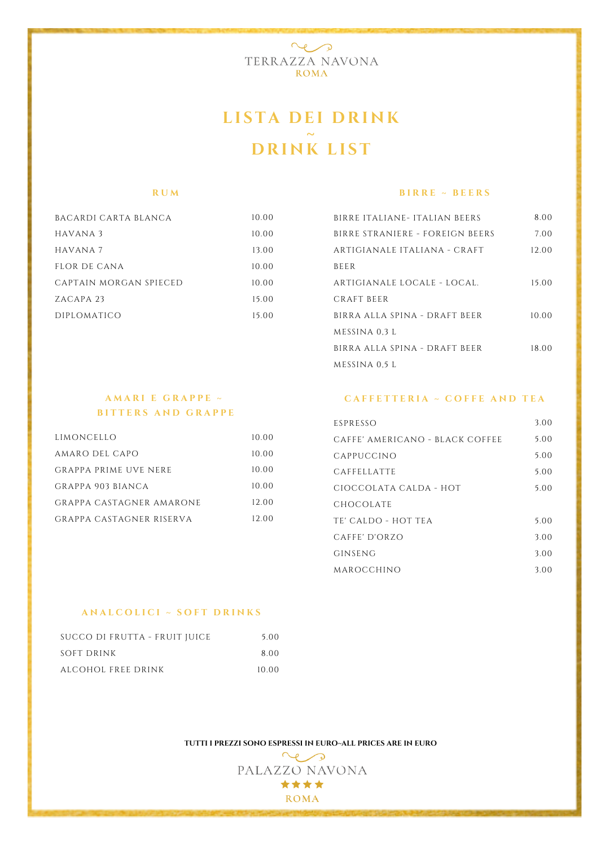

### **LI ST A D EI D RI N K ~ D RI N K LI ST**

#### **R U M**

| BACARDI CARTA BLANCA   | 10.00 |
|------------------------|-------|
| HAVANA 3               | 10.00 |
| HAVANA 7               | 13.00 |
| FLOR DE CANA           | 10.00 |
| CAPTAIN MORGAN SPIECED | 10.00 |
| ZACAPA <sub>23</sub>   | 15.00 |
| <b>DIPLOMATICO</b>     | 15.00 |
|                        |       |

#### **B I R R E ~ B E E R S**

| BIRRE ITALIANE- ITALIAN BEERS   | 8.00  |
|---------------------------------|-------|
| BIRRE STRANIERE - FOREIGN BEERS | 7.00  |
| ARTIGIANALE ITALIANA - CRAFT    | 12.00 |
| <b>BEER</b>                     |       |
| ARTIGIANALE LOCALE - LOCAL.     | 15.00 |
| CRAFT BEER                      |       |
| BIRRA ALLA SPINA - DRAFT BEER   | 10.00 |
| MESSINA 0.3 L                   |       |
| BIRRA ALLA SPINA - DRAFT BEER   | 18.00 |
| MESSINA 0.5 L                   |       |

### **A M A R I E G R A P P E ~ B I T T E R S A N D G R A P P E**

| LIMONCELLO               | 10.00 |
|--------------------------|-------|
| AMARO DEL CAPO           | 10.00 |
| GRAPPA PRIME UVE NERE    | 10.00 |
| GRAPPA 903 BIANCA        | 10.00 |
| GRAPPA CASTAGNER AMARONE | 12.00 |
| GRAPPA CASTAGNER RISERVA | 12.00 |

#### **C A F F E T T E R I A ~ C O F F E A N D T E A**

| ESPRESSO                        | 3.00 |
|---------------------------------|------|
| CAFFE' AMERICANO - BLACK COFFEE | 5.00 |
| CAPPUCCINO                      | 5.00 |
| CAFFELLATTE                     | 5.00 |
| CIOCCOLATA CALDA - HOT          | 5.00 |
| CHOCOLATE                       |      |
| TE' CALDO - HOT TEA             | 5.00 |
| CAFE' D'ORZO                    | 3.00 |
| GINSENG                         | 3.00 |
| MAROCCHINO                      | 3.00 |

#### **A N A L C O L I C I ~ S O F T D R I N K S**

| SUCCO DI FRUTTA - FRUIT JUICE | 5.00  |
|-------------------------------|-------|
| SOFT DRINK                    | 8.OO  |
| ALCOHOL FREE DRINK            | 10.00 |

**TUTTI I PREZZI SONO ESPRESSI IN EURO~ALL PRICES ARE IN EURO**

 $\sim$ PALAZZO NAVONA \*\*\*\* **ROMA**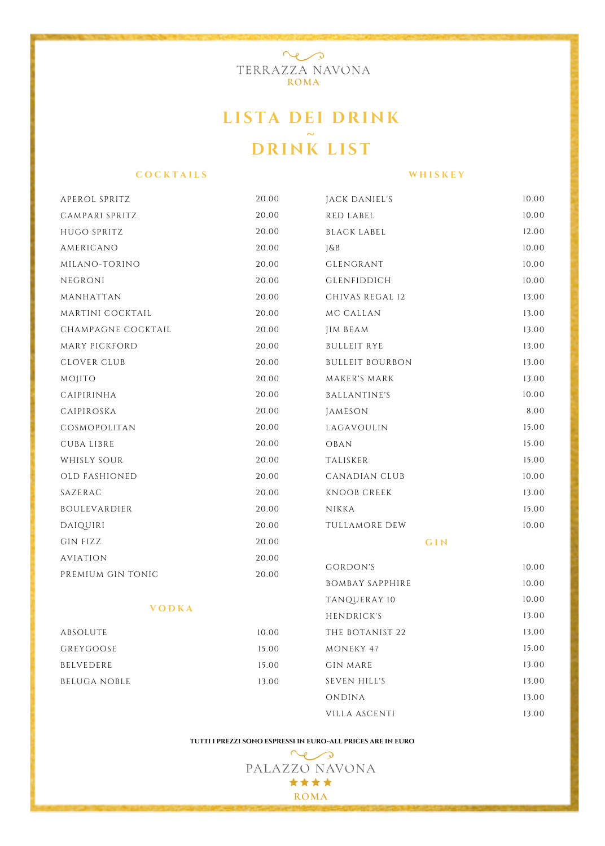

## **LI ST A D EI D RI N K ~ D RI N K LI ST**

#### **C O C K T A I L S**

**W H I S K E Y**

| APEROL SPRITZ       | 20.00 | JACK DANIEL'S          | 10.00 |
|---------------------|-------|------------------------|-------|
| CAMPARI SPRITZ      | 20.00 | <b>RED LABEL</b>       | 10.00 |
| HUGO SPRITZ         | 20.00 | <b>BLACK LABEL</b>     | 12.00 |
| AMERICANO           | 20.00 | J&B                    | 10.00 |
| MILANO-TORINO       | 20.00 | GLENGRANT              | 10.00 |
| NEGRONI             | 20.00 | <b>GLENFIDDICH</b>     | 10.00 |
| MANHATTAN           | 20.00 | CHIVAS REGAL 12        | 13.00 |
| MARTINI COCKTAIL    | 20.00 | MC CALLAN              | 13.00 |
| CHAMPAGNE COCKTAIL  | 20.00 | <b>JIM BEAM</b>        | 13.00 |
| MARY PICKFORD       | 20.00 | <b>BULLEIT RYE</b>     | 13.00 |
| <b>CLOVER CLUB</b>  | 20.00 | <b>BULLEIT BOURBON</b> | 13.00 |
| MOJITO              | 20.00 | MAKER'S MARK           | 13.00 |
| CAIPIRINHA          | 20.00 | <b>BALLANTINE'S</b>    | 10.00 |
| CAIPIROSKA          | 20.00 | JAMESON                | 8.00  |
| COSMOPOLITAN        | 20.00 | LAGAVOULIN             | 15.00 |
| <b>CUBALIBRE</b>    | 20.00 | OBAN                   | 15.00 |
| WHISLY SOUR         | 20.00 | TALISKER               | 15.00 |
| OLD FASHIONED       | 20.00 | CANADIAN CLUB          | 10.00 |
| SAZERAC             | 20.00 | <b>KNOOB CREEK</b>     | 13.00 |
| BOULEVARDIER        | 20.00 | NIKKA                  | 15.00 |
| DAIQUIRI            | 20.00 | TULLAMORE DEW          | 10.00 |
| <b>GIN FIZZ</b>     | 20.00 | GIN                    |       |
| <b>AVIATION</b>     | 20.00 |                        |       |
| PREMIUM GIN TONIC   | 20.00 | <b>GORDON'S</b>        | 10.00 |
|                     |       | <b>BOMBAY SAPPHIRE</b> | 10.00 |
| <b>VODKA</b>        |       | TANQUERAY 10           | 10.00 |
|                     |       | HENDRICK'S             | 13.00 |
| ABSOLUTE            | 10.00 | THE BOTANIST 22        | 13.00 |
| GREYGOOSE           | 15.00 | MONEKY 47              | 15.00 |
| <b>BELVEDERE</b>    | 15.00 | <b>GIN MARE</b>        | 13.00 |
| <b>BELUGA NOBLE</b> | 13.00 | SEVEN HILL'S           | 13.00 |
|                     |       | ONDINA                 | 13.00 |
|                     |       | VILLA ASCENTI          | 13.00 |

#### **TUTTI I PREZZI SONO ESPRESSI IN EURO~ALL PRICES ARE IN EURO**

 $\sim$ PALAZZO NAVONA \*\*\*\* **ROMA**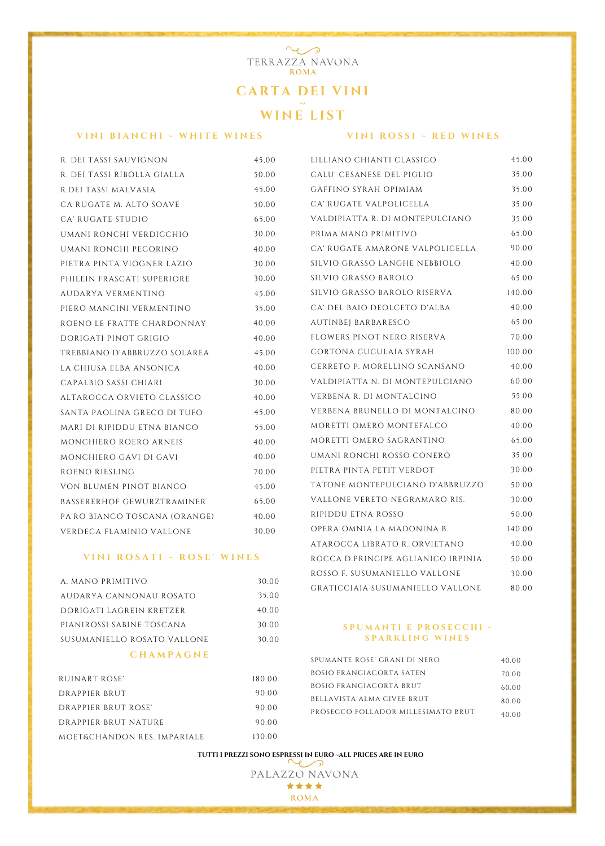# **CART A D EI V I N I <sup>~</sup> WI <sup>N</sup> <sup>E</sup> LI ST**

 $\sim$ TERRAZZA NAVONA **ROMA** 

#### **V I N I B I A N C H I ~ W H I T E W I N E S**

#### **V I N I R O S S I ~ R E D W I N E S**

45.00 35.00 35.00 35.00 35.00 65.00 90.00 40.00 65.00 140.00 40.00 65.00 70.00 100.00 40.00 60.00 55.00 80.00 40.00

| R. DEI TASSI SAUVIGNON        | 45,00 | LILLIANO CHIANTI CLASSICO       |
|-------------------------------|-------|---------------------------------|
| R. DEI TASSI RIBOLLA GIALLA   | 50.00 | CALU' CESANESE DEL PIGLIO       |
| R.DEI TASSI MALVASIA          | 45.00 | GAFFINO SYRAH OPIMIAM           |
| CA RUGATE M. ALTO SOAVE       | 50.00 | CA' RUGATE VALPOLICELLA         |
| CA' RUGATE STUDIO             | 65.00 | VALDIPIATTA R. DI MONTEPULCIANO |
| UMANI RONCHI VERDICCHIO       | 30.00 | PRIMA MANO PRIMITIVO            |
| UMANI RONCHI PECORINO         | 40.00 | CA' RUGATE AMARONE VALPOLICELLA |
| PIETRA PINTA VIOGNER LAZIO    | 30.00 | SILVIO GRASSO LANGHE NEBBIOLO   |
| PHILEIN FRASCATI SUPERIORE    | 30.00 | SILVIO GRASSO BAROLO            |
| AUDARYA VERMENTINO            | 45.00 | SILVIO GRASSO BAROLO RISERVA    |
| PIERO MANCINI VERMENTINO      | 35.00 | CA' DEL BAIO DEOLCETO D'ALBA    |
| ROENO LE FRATTE CHARDONNAY    | 40.00 | AUTINBEJ BARBARESCO             |
| DORIGATI PINOT GRIGIO         | 40.00 | FLOWERS PINOT NERO RISERVA      |
| TREBBIANO D'ABBRUZZO SOLAREA  | 45.00 | CORTONA CUCULAIA SYRAH          |
| LA CHIUSA ELBA ANSONICA       | 40.00 | CERRETO P. MORELLINO SCANSANO   |
| CAPALBIO SASSI CHIARI         | 30.00 | VALDIPIATTA N. DI MONTEPULCIANO |
| ALTAROCCA ORVIETO CLASSICO    | 40.00 | VERBENA R. DI MONTALCINO        |
| SANTA PAOLINA GRECO DI TUFO   | 45.00 | VERBENA BRUNELLO DI MONTALCINO  |
| MARI DI RIPIDDU ETNA BIANCO   | 55.00 | MORETTI OMERO MONTEFALCO        |
| MONCHIERO ROERO ARNEIS        | 40.00 | MORETTI OMERO SAGRANTINO        |
| MONCHIERO GAVI DI GAVI        | 40.00 | UMANI RONCHI ROSSO CONERO       |
| ROENO RIESLING                | 70.00 | PIETRA PINTA PETIT VERDOT       |
| VON BLUMEN PINOT BIANCO       | 45.00 | TATONE MONTEPULCIANO D'ABBRUZZ  |
| BASSERERHOF GEWURZTRAMINER    | 65.00 | VALLONE VERETO NEGRAMARO RIS.   |
| PA'RO BIANCO TOSCANA (ORANGE) | 40.00 | RIPIDDU ETNA ROSSO              |
| VERDECA FLAMINIO VALLONE      | 30.00 | OPERA OMNIA LA MADONINA B.      |
|                               |       |                                 |

#### **V I N I R O S A T I ~ R O S E ' W I N E S**

| A. MANO PRIMITIVO           | 30.00 |
|-----------------------------|-------|
| AUDARYA CANNONAU ROSATO     | 35.00 |
| DORIGATI LAGREIN KRETZER    | 40.00 |
| PIANIROSSI SABINE TOSCANA   | 30.00 |
| SUSUMANIELLO ROSATO VALLONE | 30.00 |
|                             |       |

#### **C H A M P A G N E**

| RUINART ROSE'               | 180.00 |
|-----------------------------|--------|
| DRAPPIER BRUT               | 90.00  |
| DRAPPIER BRUT ROSE'         | 90.00  |
| DRAPPIER BRUT NATURE        | 90.00  |
| MOET&CHANDON RES. IMPARIALE | 130.00 |

UZZO ATAROCCA LIBRATO R. ORVIETANO ROCCA D.PRINCIPE AGLIANICO IRPINIA ROSSO F. SUSUMANIELLO VALLONE GRATICCIAIA SUSUMANIELLO VALLONE 65.00 35.00 30.00 50.00 30.00 50.00 140.00 40.00 50.00 30.00 80.00

#### **S P U M A N T I E P R O S E C C H I - S P A R K L I N G W I N E S**

| SPUMANTE ROSE' GRANI DI NERO       | 40.00 |
|------------------------------------|-------|
| <b>BOSIO FRANCIACORTA SATEN</b>    | 70.00 |
| BOSIO FRANCIACORTA BRUT            | 60.00 |
| BELLAVISTA ALMA CIVEE BRUT         | 80.00 |
| PROSECCO FOLLADOR MILLESIMATO BRUT | 40.00 |

**TUTTI I PREZZI SONO ESPRESSI IN EURO ~ALL PRICES ARE IN EURO**

PALAZZO NAVONA \*\*\*\* **ROMA**